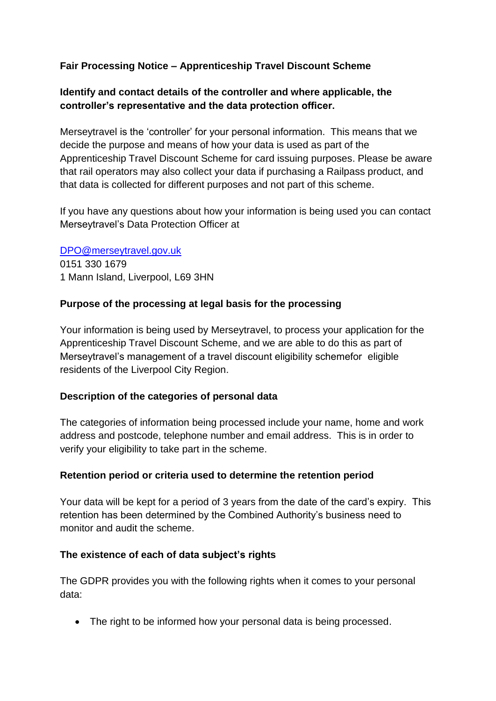# **Fair Processing Notice – Apprenticeship Travel Discount Scheme**

## **Identify and contact details of the controller and where applicable, the controller's representative and the data protection officer.**

Merseytravel is the 'controller' for your personal information. This means that we decide the purpose and means of how your data is used as part of the Apprenticeship Travel Discount Scheme for card issuing purposes. Please be aware that rail operators may also collect your data if purchasing a Railpass product, and that data is collected for different purposes and not part of this scheme.

If you have any questions about how your information is being used you can contact Merseytravel's Data Protection Officer at

[DPO@merseytravel.gov.uk](mailto:DPO@merseytravel.gov.uk) 0151 330 1679 1 Mann Island, Liverpool, L69 3HN

### **Purpose of the processing at legal basis for the processing**

Your information is being used by Merseytravel, to process your application for the Apprenticeship Travel Discount Scheme, and we are able to do this as part of Merseytravel's management of a travel discount eligibility schemefor eligible residents of the Liverpool City Region.

### **Description of the categories of personal data**

The categories of information being processed include your name, home and work address and postcode, telephone number and email address. This is in order to verify your eligibility to take part in the scheme.

### **Retention period or criteria used to determine the retention period**

Your data will be kept for a period of 3 years from the date of the card's expiry. This retention has been determined by the Combined Authority's business need to monitor and audit the scheme.

### **The existence of each of data subject's rights**

The GDPR provides you with the following rights when it comes to your personal data:

• The right to be informed how your personal data is being processed.